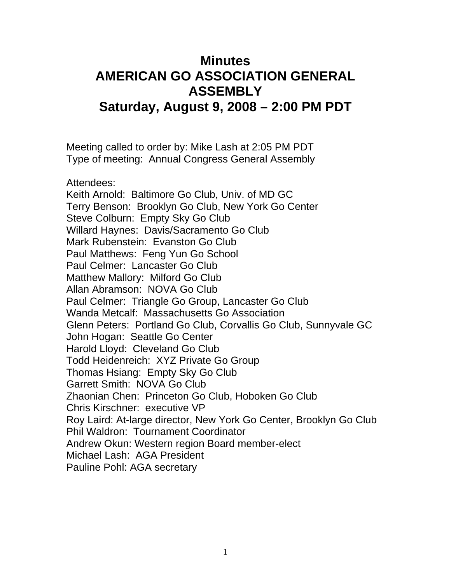## **Minutes AMERICAN GO ASSOCIATION GENERAL ASSEMBLY Saturday, August 9, 2008 – 2:00 PM PDT**

Meeting called to order by: Mike Lash at 2:05 PM PDT Type of meeting: Annual Congress General Assembly

Attendees: Keith Arnold: Baltimore Go Club, Univ. of MD GC Terry Benson: Brooklyn Go Club, New York Go Center Steve Colburn: Empty Sky Go Club Willard Haynes: Davis/Sacramento Go Club Mark Rubenstein: Evanston Go Club Paul Matthews: Feng Yun Go School Paul Celmer: Lancaster Go Club Matthew Mallory: Milford Go Club Allan Abramson: NOVA Go Club Paul Celmer: Triangle Go Group, Lancaster Go Club Wanda Metcalf: Massachusetts Go Association Glenn Peters: Portland Go Club, Corvallis Go Club, Sunnyvale GC John Hogan: Seattle Go Center Harold Lloyd: Cleveland Go Club Todd Heidenreich: XYZ Private Go Group Thomas Hsiang: Empty Sky Go Club Garrett Smith: NOVA Go Club Zhaonian Chen: Princeton Go Club, Hoboken Go Club Chris Kirschner: executive VP Roy Laird: At-large director, New York Go Center, Brooklyn Go Club Phil Waldron: Tournament Coordinator Andrew Okun: Western region Board member-elect Michael Lash: AGA President Pauline Pohl: AGA secretary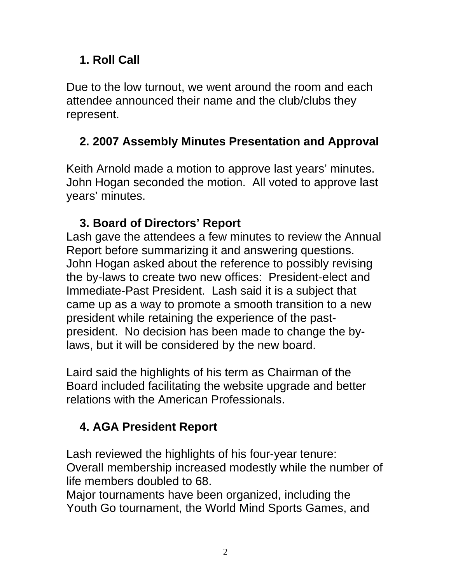# **1. Roll Call**

Due to the low turnout, we went around the room and each attendee announced their name and the club/clubs they represent.

### **2. 2007 Assembly Minutes Presentation and Approval**

Keith Arnold made a motion to approve last years' minutes. John Hogan seconded the motion. All voted to approve last years' minutes.

## **3. Board of Directors' Report**

Lash gave the attendees a few minutes to review the Annual Report before summarizing it and answering questions. John Hogan asked about the reference to possibly revising the by-laws to create two new offices: President-elect and Immediate-Past President. Lash said it is a subject that came up as a way to promote a smooth transition to a new president while retaining the experience of the pastpresident. No decision has been made to change the bylaws, but it will be considered by the new board.

Laird said the highlights of his term as Chairman of the Board included facilitating the website upgrade and better relations with the American Professionals.

# **4. AGA President Report**

Lash reviewed the highlights of his four-year tenure: Overall membership increased modestly while the number of life members doubled to 68.

Major tournaments have been organized, including the Youth Go tournament, the World Mind Sports Games, and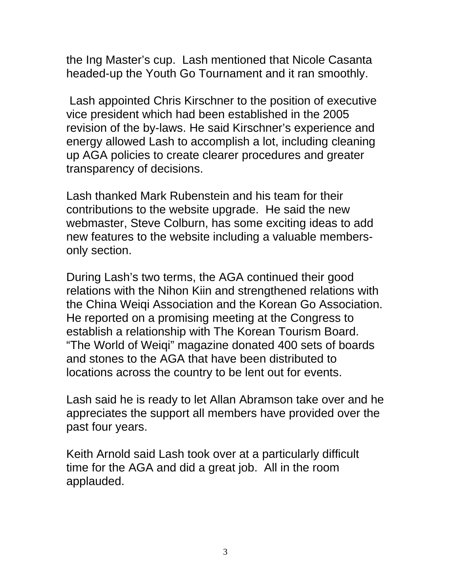the Ing Master's cup. Lash mentioned that Nicole Casanta headed-up the Youth Go Tournament and it ran smoothly.

 Lash appointed Chris Kirschner to the position of executive vice president which had been established in the 2005 revision of the by-laws. He said Kirschner's experience and energy allowed Lash to accomplish a lot, including cleaning up AGA policies to create clearer procedures and greater transparency of decisions.

Lash thanked Mark Rubenstein and his team for their contributions to the website upgrade. He said the new webmaster, Steve Colburn, has some exciting ideas to add new features to the website including a valuable membersonly section.

During Lash's two terms, the AGA continued their good relations with the Nihon Kiin and strengthened relations with the China Weiqi Association and the Korean Go Association. He reported on a promising meeting at the Congress to establish a relationship with The Korean Tourism Board. "The World of Weiqi" magazine donated 400 sets of boards and stones to the AGA that have been distributed to locations across the country to be lent out for events.

Lash said he is ready to let Allan Abramson take over and he appreciates the support all members have provided over the past four years.

Keith Arnold said Lash took over at a particularly difficult time for the AGA and did a great job. All in the room applauded.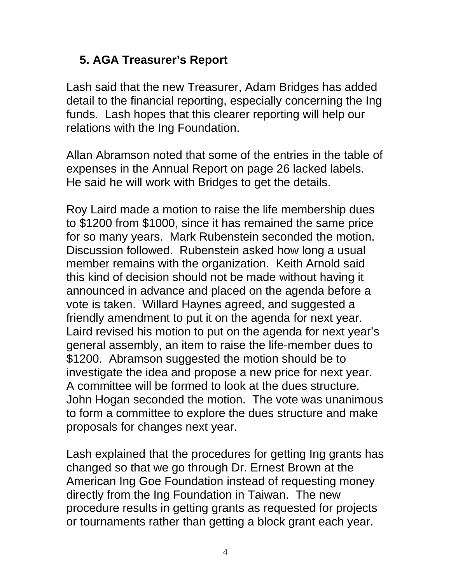### **5. AGA Treasurer's Report**

Lash said that the new Treasurer, Adam Bridges has added detail to the financial reporting, especially concerning the Ing funds. Lash hopes that this clearer reporting will help our relations with the Ing Foundation.

Allan Abramson noted that some of the entries in the table of expenses in the Annual Report on page 26 lacked labels. He said he will work with Bridges to get the details.

Roy Laird made a motion to raise the life membership dues to \$1200 from \$1000, since it has remained the same price for so many years. Mark Rubenstein seconded the motion. Discussion followed. Rubenstein asked how long a usual member remains with the organization. Keith Arnold said this kind of decision should not be made without having it announced in advance and placed on the agenda before a vote is taken. Willard Haynes agreed, and suggested a friendly amendment to put it on the agenda for next year. Laird revised his motion to put on the agenda for next year's general assembly, an item to raise the life-member dues to \$1200. Abramson suggested the motion should be to investigate the idea and propose a new price for next year. A committee will be formed to look at the dues structure. John Hogan seconded the motion. The vote was unanimous to form a committee to explore the dues structure and make proposals for changes next year.

Lash explained that the procedures for getting Ing grants has changed so that we go through Dr. Ernest Brown at the American Ing Goe Foundation instead of requesting money directly from the Ing Foundation in Taiwan. The new procedure results in getting grants as requested for projects or tournaments rather than getting a block grant each year.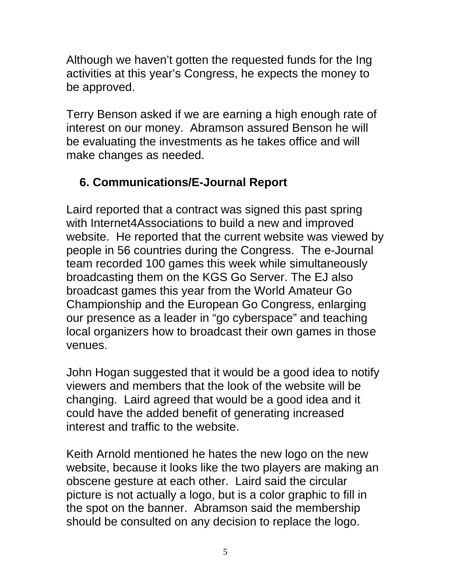Although we haven't gotten the requested funds for the Ing activities at this year's Congress, he expects the money to be approved.

Terry Benson asked if we are earning a high enough rate of interest on our money. Abramson assured Benson he will be evaluating the investments as he takes office and will make changes as needed.

## **6. Communications/E-Journal Report**

Laird reported that a contract was signed this past spring with Internet4Associations to build a new and improved website. He reported that the current website was viewed by people in 56 countries during the Congress. The e-Journal team recorded 100 games this week while simultaneously broadcasting them on the KGS Go Server. The EJ also broadcast games this year from the World Amateur Go Championship and the European Go Congress, enlarging our presence as a leader in "go cyberspace" and teaching local organizers how to broadcast their own games in those venues.

John Hogan suggested that it would be a good idea to notify viewers and members that the look of the website will be changing. Laird agreed that would be a good idea and it could have the added benefit of generating increased interest and traffic to the website.

Keith Arnold mentioned he hates the new logo on the new website, because it looks like the two players are making an obscene gesture at each other. Laird said the circular picture is not actually a logo, but is a color graphic to fill in the spot on the banner. Abramson said the membership should be consulted on any decision to replace the logo.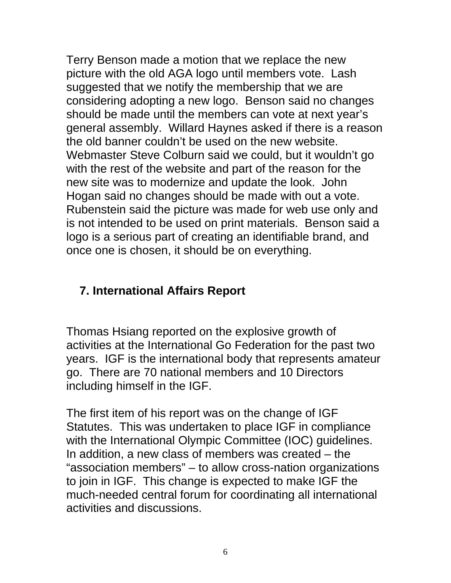Terry Benson made a motion that we replace the new picture with the old AGA logo until members vote. Lash suggested that we notify the membership that we are considering adopting a new logo. Benson said no changes should be made until the members can vote at next year's general assembly. Willard Haynes asked if there is a reason the old banner couldn't be used on the new website. Webmaster Steve Colburn said we could, but it wouldn't go with the rest of the website and part of the reason for the new site was to modernize and update the look. John Hogan said no changes should be made with out a vote. Rubenstein said the picture was made for web use only and is not intended to be used on print materials. Benson said a logo is a serious part of creating an identifiable brand, and once one is chosen, it should be on everything.

#### **7. International Affairs Report**

Thomas Hsiang reported on the explosive growth of activities at the International Go Federation for the past two years. IGF is the international body that represents amateur go. There are 70 national members and 10 Directors including himself in the IGF.

The first item of his report was on the change of IGF Statutes. This was undertaken to place IGF in compliance with the International Olympic Committee (IOC) guidelines. In addition, a new class of members was created – the "association members" – to allow cross-nation organizations to join in IGF. This change is expected to make IGF the much-needed central forum for coordinating all international activities and discussions.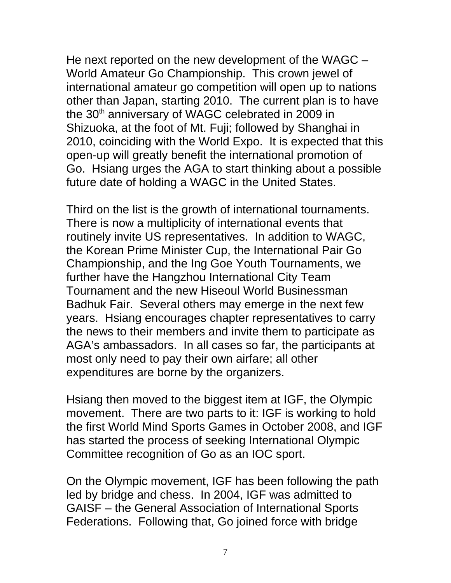He next reported on the new development of the WAGC – World Amateur Go Championship. This crown jewel of international amateur go competition will open up to nations other than Japan, starting 2010. The current plan is to have the 30<sup>th</sup> anniversary of WAGC celebrated in 2009 in Shizuoka, at the foot of Mt. Fuji; followed by Shanghai in 2010, coinciding with the World Expo. It is expected that this open-up will greatly benefit the international promotion of Go. Hsiang urges the AGA to start thinking about a possible future date of holding a WAGC in the United States.

Third on the list is the growth of international tournaments. There is now a multiplicity of international events that routinely invite US representatives. In addition to WAGC, the Korean Prime Minister Cup, the International Pair Go Championship, and the Ing Goe Youth Tournaments, we further have the Hangzhou International City Team Tournament and the new Hiseoul World Businessman Badhuk Fair. Several others may emerge in the next few years. Hsiang encourages chapter representatives to carry the news to their members and invite them to participate as AGA's ambassadors. In all cases so far, the participants at most only need to pay their own airfare; all other expenditures are borne by the organizers.

Hsiang then moved to the biggest item at IGF, the Olympic movement. There are two parts to it: IGF is working to hold the first World Mind Sports Games in October 2008, and IGF has started the process of seeking International Olympic Committee recognition of Go as an IOC sport.

On the Olympic movement, IGF has been following the path led by bridge and chess. In 2004, IGF was admitted to GAISF – the General Association of International Sports Federations. Following that, Go joined force with bridge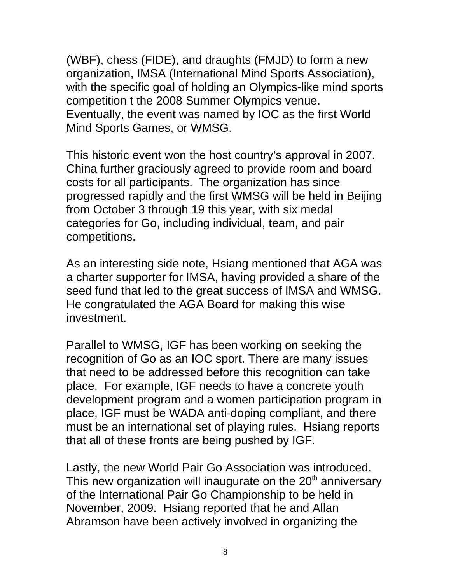(WBF), chess (FIDE), and draughts (FMJD) to form a new organization, IMSA (International Mind Sports Association), with the specific goal of holding an Olympics-like mind sports competition t the 2008 Summer Olympics venue. Eventually, the event was named by IOC as the first World Mind Sports Games, or WMSG.

This historic event won the host country's approval in 2007. China further graciously agreed to provide room and board costs for all participants. The organization has since progressed rapidly and the first WMSG will be held in Beijing from October 3 through 19 this year, with six medal categories for Go, including individual, team, and pair competitions.

As an interesting side note, Hsiang mentioned that AGA was a charter supporter for IMSA, having provided a share of the seed fund that led to the great success of IMSA and WMSG. He congratulated the AGA Board for making this wise investment.

Parallel to WMSG, IGF has been working on seeking the recognition of Go as an IOC sport. There are many issues that need to be addressed before this recognition can take place. For example, IGF needs to have a concrete youth development program and a women participation program in place, IGF must be WADA anti-doping compliant, and there must be an international set of playing rules. Hsiang reports that all of these fronts are being pushed by IGF.

Lastly, the new World Pair Go Association was introduced. This new organization will inaugurate on the  $20<sup>th</sup>$  anniversary of the International Pair Go Championship to be held in November, 2009. Hsiang reported that he and Allan Abramson have been actively involved in organizing the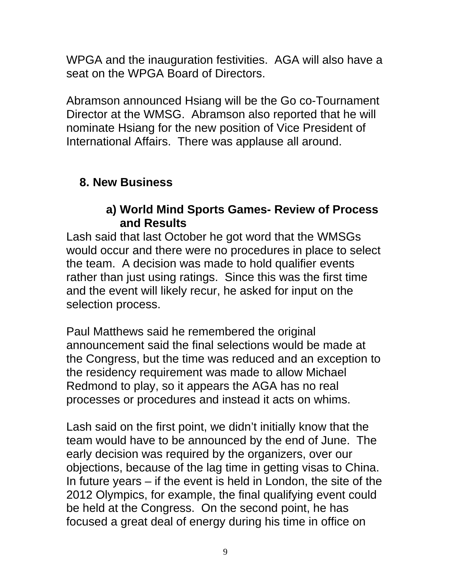WPGA and the inauguration festivities. AGA will also have a seat on the WPGA Board of Directors.

Abramson announced Hsiang will be the Go co-Tournament Director at the WMSG. Abramson also reported that he will nominate Hsiang for the new position of Vice President of International Affairs. There was applause all around.

### **8. New Business**

#### **a) World Mind Sports Games- Review of Process and Results**

Lash said that last October he got word that the WMSGs would occur and there were no procedures in place to select the team. A decision was made to hold qualifier events rather than just using ratings. Since this was the first time and the event will likely recur, he asked for input on the selection process.

Paul Matthews said he remembered the original announcement said the final selections would be made at the Congress, but the time was reduced and an exception to the residency requirement was made to allow Michael Redmond to play, so it appears the AGA has no real processes or procedures and instead it acts on whims.

Lash said on the first point, we didn't initially know that the team would have to be announced by the end of June. The early decision was required by the organizers, over our objections, because of the lag time in getting visas to China. In future years – if the event is held in London, the site of the 2012 Olympics, for example, the final qualifying event could be held at the Congress. On the second point, he has focused a great deal of energy during his time in office on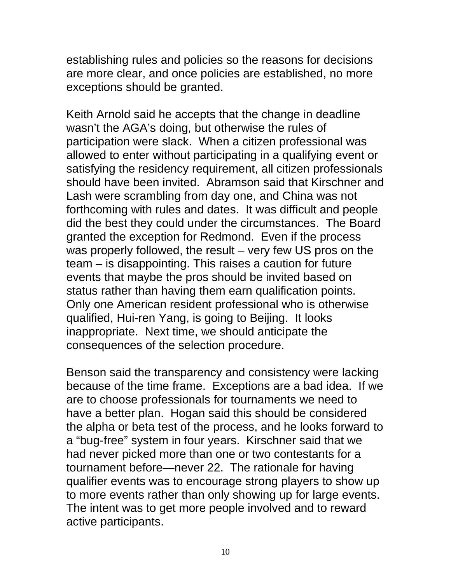establishing rules and policies so the reasons for decisions are more clear, and once policies are established, no more exceptions should be granted.

Keith Arnold said he accepts that the change in deadline wasn't the AGA's doing, but otherwise the rules of participation were slack. When a citizen professional was allowed to enter without participating in a qualifying event or satisfying the residency requirement, all citizen professionals should have been invited. Abramson said that Kirschner and Lash were scrambling from day one, and China was not forthcoming with rules and dates. It was difficult and people did the best they could under the circumstances. The Board granted the exception for Redmond. Even if the process was properly followed, the result – very few US pros on the team – is disappointing. This raises a caution for future events that maybe the pros should be invited based on status rather than having them earn qualification points. Only one American resident professional who is otherwise qualified, Hui-ren Yang, is going to Beijing. It looks inappropriate. Next time, we should anticipate the consequences of the selection procedure.

Benson said the transparency and consistency were lacking because of the time frame. Exceptions are a bad idea. If we are to choose professionals for tournaments we need to have a better plan. Hogan said this should be considered the alpha or beta test of the process, and he looks forward to a "bug-free" system in four years. Kirschner said that we had never picked more than one or two contestants for a tournament before—never 22. The rationale for having qualifier events was to encourage strong players to show up to more events rather than only showing up for large events. The intent was to get more people involved and to reward active participants.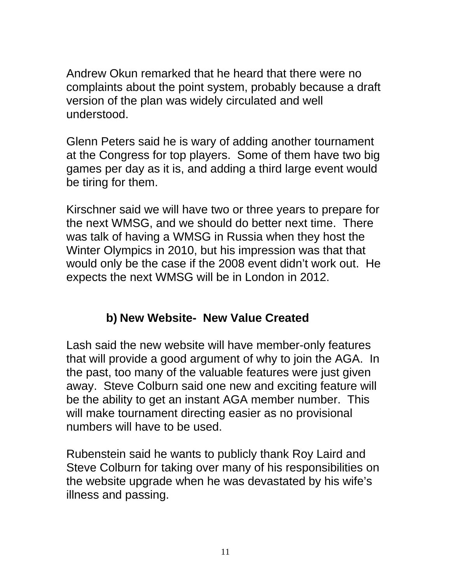Andrew Okun remarked that he heard that there were no complaints about the point system, probably because a draft version of the plan was widely circulated and well understood.

Glenn Peters said he is wary of adding another tournament at the Congress for top players. Some of them have two big games per day as it is, and adding a third large event would be tiring for them.

Kirschner said we will have two or three years to prepare for the next WMSG, and we should do better next time. There was talk of having a WMSG in Russia when they host the Winter Olympics in 2010, but his impression was that that would only be the case if the 2008 event didn't work out. He expects the next WMSG will be in London in 2012.

### **b) New Website- New Value Created**

Lash said the new website will have member-only features that will provide a good argument of why to join the AGA. In the past, too many of the valuable features were just given away. Steve Colburn said one new and exciting feature will be the ability to get an instant AGA member number. This will make tournament directing easier as no provisional numbers will have to be used.

Rubenstein said he wants to publicly thank Roy Laird and Steve Colburn for taking over many of his responsibilities on the website upgrade when he was devastated by his wife's illness and passing.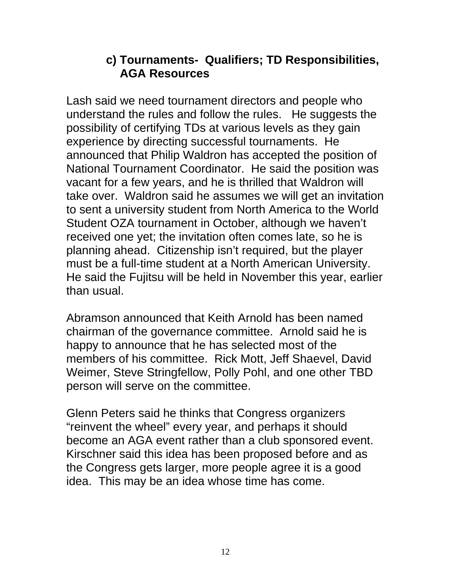#### **c) Tournaments- Qualifiers; TD Responsibilities, AGA Resources**

Lash said we need tournament directors and people who understand the rules and follow the rules. He suggests the possibility of certifying TDs at various levels as they gain experience by directing successful tournaments. He announced that Philip Waldron has accepted the position of National Tournament Coordinator. He said the position was vacant for a few years, and he is thrilled that Waldron will take over. Waldron said he assumes we will get an invitation to sent a university student from North America to the World Student OZA tournament in October, although we haven't received one yet; the invitation often comes late, so he is planning ahead. Citizenship isn't required, but the player must be a full-time student at a North American University. He said the Fujitsu will be held in November this year, earlier than usual.

Abramson announced that Keith Arnold has been named chairman of the governance committee. Arnold said he is happy to announce that he has selected most of the members of his committee. Rick Mott, Jeff Shaevel, David Weimer, Steve Stringfellow, Polly Pohl, and one other TBD person will serve on the committee.

Glenn Peters said he thinks that Congress organizers "reinvent the wheel" every year, and perhaps it should become an AGA event rather than a club sponsored event. Kirschner said this idea has been proposed before and as the Congress gets larger, more people agree it is a good idea. This may be an idea whose time has come.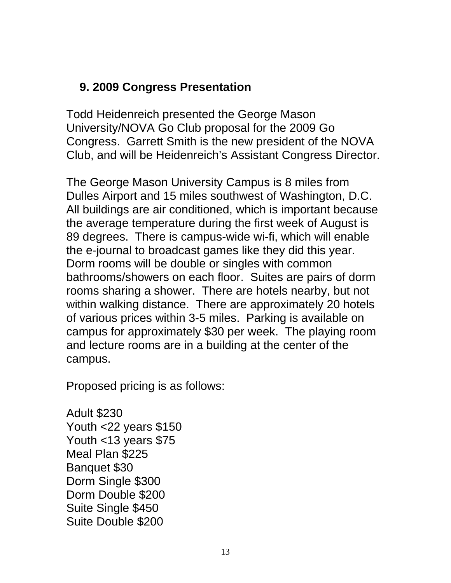### **9. 2009 Congress Presentation**

Todd Heidenreich presented the George Mason University/NOVA Go Club proposal for the 2009 Go Congress. Garrett Smith is the new president of the NOVA Club, and will be Heidenreich's Assistant Congress Director.

The George Mason University Campus is 8 miles from Dulles Airport and 15 miles southwest of Washington, D.C. All buildings are air conditioned, which is important because the average temperature during the first week of August is 89 degrees. There is campus-wide wi-fi, which will enable the e-journal to broadcast games like they did this year. Dorm rooms will be double or singles with common bathrooms/showers on each floor. Suites are pairs of dorm rooms sharing a shower. There are hotels nearby, but not within walking distance. There are approximately 20 hotels of various prices within 3-5 miles. Parking is available on campus for approximately \$30 per week. The playing room and lecture rooms are in a building at the center of the campus.

Proposed pricing is as follows:

Adult \$230 Youth <22 years \$150 Youth <13 years \$75 Meal Plan \$225 Banquet \$30 Dorm Single \$300 Dorm Double \$200 Suite Single \$450 Suite Double \$200